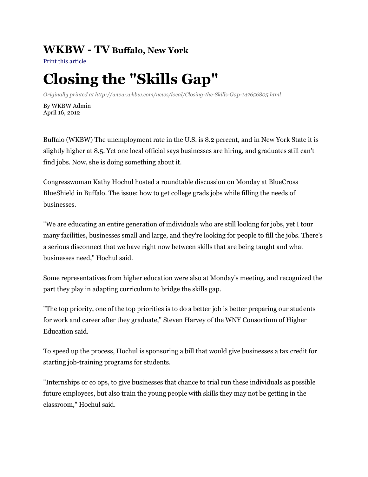## **WKBW - TV Buffalo, New York**

[Print this article](http://www.wkbw.com/internal?st=print&id=147656805&path=/news/local)

## **Closing the "Skills Gap"**

*Originally printed at http://www.wkbw.com/news/local/Closing-the-Skills-Gap-147656805.html*

By WKBW Admin April 16, 2012

Buffalo (WKBW) The unemployment rate in the U.S. is 8.2 percent, and in New York State it is slightly higher at 8.5. Yet one local official says businesses are hiring, and graduates still can't find jobs. Now, she is doing something about it.

Congresswoman Kathy Hochul hosted a roundtable discussion on Monday at BlueCross BlueShield in Buffalo. The issue: how to get college grads jobs while filling the needs of businesses.

"We are educating an entire generation of individuals who are still looking for jobs, yet I tour many facilities, businesses small and large, and they're looking for people to fill the jobs. There's a serious disconnect that we have right now between skills that are being taught and what businesses need," Hochul said.

Some representatives from higher education were also at Monday's meeting, and recognized the part they play in adapting curriculum to bridge the skills gap.

"The top priority, one of the top priorities is to do a better job is better preparing our students for work and career after they graduate," Steven Harvey of the WNY Consortium of Higher Education said.

To speed up the process, Hochul is sponsoring a bill that would give businesses a tax credit for starting job-training programs for students.

"Internships or co ops, to give businesses that chance to trial run these individuals as possible future employees, but also train the young people with skills they may not be getting in the classroom," Hochul said.